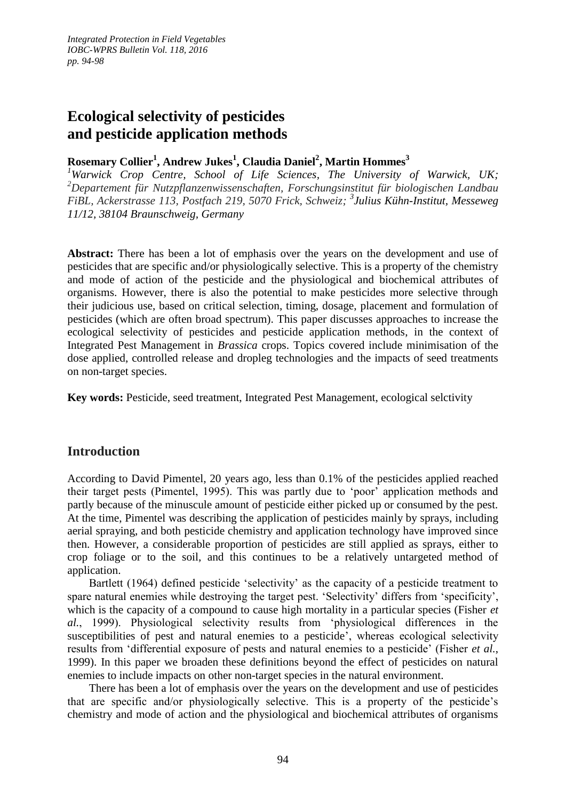# **Ecological selectivity of pesticides and pesticide application methods**

## **Rosemary Collier<sup>1</sup> , Andrew Jukes<sup>1</sup> , Claudia Daniel<sup>2</sup> , Martin Hommes<sup>3</sup>**

*<sup>1</sup>Warwick Crop Centre, School of Life Sciences, The University of Warwick, UK; <sup>2</sup>Departement für Nutzpflanzenwissenschaften, Forschungsinstitut für biologischen Landbau FiBL, Ackerstrasse 113, Postfach 219, 5070 Frick, Schweiz; 3 Julius Kühn-Institut, Messeweg 11/12, 38104 Braunschweig, Germany*

Abstract: There has been a lot of emphasis over the years on the development and use of pesticides that are specific and/or physiologically selective. This is a property of the chemistry and mode of action of the pesticide and the physiological and biochemical attributes of organisms. However, there is also the potential to make pesticides more selective through their judicious use, based on critical selection, timing, dosage, placement and formulation of pesticides (which are often broad spectrum). This paper discusses approaches to increase the ecological selectivity of pesticides and pesticide application methods, in the context of Integrated Pest Management in *Brassica* crops. Topics covered include minimisation of the dose applied, controlled release and dropleg technologies and the impacts of seed treatments on non-target species.

**Key words:** Pesticide, seed treatment, Integrated Pest Management, ecological selctivity

# **Introduction**

According to David Pimentel, 20 years ago, less than 0.1% of the pesticides applied reached their target pests (Pimentel, 1995). This was partly due to 'poor' application methods and partly because of the minuscule amount of pesticide either picked up or consumed by the pest. At the time, Pimentel was describing the application of pesticides mainly by sprays, including aerial spraying, and both pesticide chemistry and application technology have improved since then. However, a considerable proportion of pesticides are still applied as sprays, either to crop foliage or to the soil, and this continues to be a relatively untargeted method of application.

Bartlett (1964) defined pesticide 'selectivity' as the capacity of a pesticide treatment to spare natural enemies while destroying the target pest. 'Selectivity' differs from 'specificity', which is the capacity of a compound to cause high mortality in a particular species (Fisher *et al.*, 1999). Physiological selectivity results from 'physiological differences in the susceptibilities of pest and natural enemies to a pesticide', whereas ecological selectivity results from 'differential exposure of pests and natural enemies to a pesticide' (Fisher *et al.*, 1999). In this paper we broaden these definitions beyond the effect of pesticides on natural enemies to include impacts on other non-target species in the natural environment.

There has been a lot of emphasis over the years on the development and use of pesticides that are specific and/or physiologically selective. This is a property of the pesticide's chemistry and mode of action and the physiological and biochemical attributes of organisms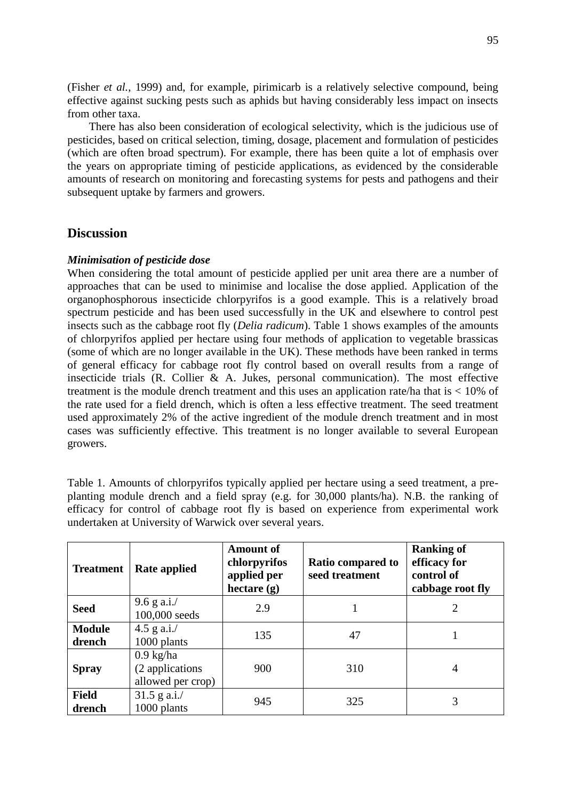(Fisher *et al.*, 1999) and, for example, pirimicarb is a relatively selective compound, being effective against sucking pests such as aphids but having considerably less impact on insects from other taxa.

There has also been consideration of ecological selectivity, which is the judicious use of pesticides, based on critical selection, timing, dosage, placement and formulation of pesticides (which are often broad spectrum). For example, there has been quite a lot of emphasis over the years on appropriate timing of pesticide applications, as evidenced by the considerable amounts of research on monitoring and forecasting systems for pests and pathogens and their subsequent uptake by farmers and growers.

#### **Discussion**

#### *Minimisation of pesticide dose*

When considering the total amount of pesticide applied per unit area there are a number of approaches that can be used to minimise and localise the dose applied. Application of the organophosphorous insecticide chlorpyrifos is a good example. This is a relatively broad spectrum pesticide and has been used successfully in the UK and elsewhere to control pest insects such as the cabbage root fly (*Delia radicum*). Table 1 shows examples of the amounts of chlorpyrifos applied per hectare using four methods of application to vegetable brassicas (some of which are no longer available in the UK). These methods have been ranked in terms of general efficacy for cabbage root fly control based on overall results from a range of insecticide trials (R. Collier  $\& A$ . Jukes, personal communication). The most effective treatment is the module drench treatment and this uses an application rate/ha that is  $< 10\%$  of the rate used for a field drench, which is often a less effective treatment. The seed treatment used approximately 2% of the active ingredient of the module drench treatment and in most cases was sufficiently effective. This treatment is no longer available to several European growers.

Table 1. Amounts of chlorpyrifos typically applied per hectare using a seed treatment, a preplanting module drench and a field spray (e.g. for 30,000 plants/ha). N.B. the ranking of efficacy for control of cabbage root fly is based on experience from experimental work undertaken at University of Warwick over several years.

| <b>Treatment</b>        | Rate applied                                                | <b>Amount of</b><br>chlorpyrifos<br>applied per<br>hectare $(g)$ | Ratio compared to<br>seed treatment | <b>Ranking of</b><br>efficacy for<br>control of<br>cabbage root fly |
|-------------------------|-------------------------------------------------------------|------------------------------------------------------------------|-------------------------------------|---------------------------------------------------------------------|
| <b>Seed</b>             | $9.6$ g a.i./<br>100,000 seeds                              | 2.9                                                              |                                     |                                                                     |
| <b>Module</b><br>drench | 4.5 g a.i. $/$<br>1000 plants                               | 135                                                              | 47                                  |                                                                     |
| <b>Spray</b>            | $0.9 \text{ kg/ha}$<br>(2 applications<br>allowed per crop) | 900                                                              | 310                                 | 4                                                                   |
| <b>Field</b><br>drench  | $31.5$ g a.i./<br>1000 plants                               | 945                                                              | 325                                 | 3                                                                   |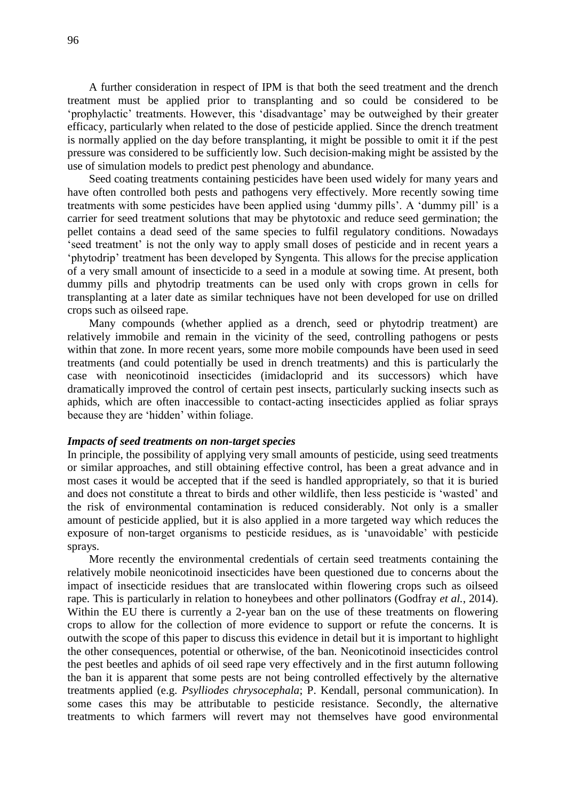A further consideration in respect of IPM is that both the seed treatment and the drench treatment must be applied prior to transplanting and so could be considered to be 'prophylactic' treatments. However, this 'disadvantage' may be outweighed by their greater efficacy, particularly when related to the dose of pesticide applied. Since the drench treatment is normally applied on the day before transplanting, it might be possible to omit it if the pest pressure was considered to be sufficiently low. Such decision-making might be assisted by the use of simulation models to predict pest phenology and abundance.

Seed coating treatments containing pesticides have been used widely for many years and have often controlled both pests and pathogens very effectively. More recently sowing time treatments with some pesticides have been applied using 'dummy pills'. A 'dummy pill' is a carrier for seed treatment solutions that may be phytotoxic and reduce seed germination; the pellet contains a dead seed of the same species to fulfil regulatory conditions. Nowadays 'seed treatment' is not the only way to apply small doses of pesticide and in recent years a 'phytodrip' treatment has been developed by Syngenta. This allows for the precise application of a very small amount of insecticide to a seed in a module at sowing time. At present, both dummy pills and phytodrip treatments can be used only with crops grown in cells for transplanting at a later date as similar techniques have not been developed for use on drilled crops such as oilseed rape.

Many compounds (whether applied as a drench, seed or phytodrip treatment) are relatively immobile and remain in the vicinity of the seed, controlling pathogens or pests within that zone. In more recent years, some more mobile compounds have been used in seed treatments (and could potentially be used in drench treatments) and this is particularly the case with neonicotinoid insecticides (imidacloprid and its successors) which have dramatically improved the control of certain pest insects, particularly sucking insects such as aphids, which are often inaccessible to contact-acting insecticides applied as foliar sprays because they are 'hidden' within foliage.

#### *Impacts of seed treatments on non-target species*

In principle, the possibility of applying very small amounts of pesticide, using seed treatments or similar approaches, and still obtaining effective control, has been a great advance and in most cases it would be accepted that if the seed is handled appropriately, so that it is buried and does not constitute a threat to birds and other wildlife, then less pesticide is 'wasted' and the risk of environmental contamination is reduced considerably. Not only is a smaller amount of pesticide applied, but it is also applied in a more targeted way which reduces the exposure of non-target organisms to pesticide residues, as is 'unavoidable' with pesticide sprays.

More recently the environmental credentials of certain seed treatments containing the relatively mobile neonicotinoid insecticides have been questioned due to concerns about the impact of insecticide residues that are translocated within flowering crops such as oilseed rape. This is particularly in relation to honeybees and other pollinators (Godfray *et al.*, 2014). Within the EU there is currently a 2-year ban on the use of these treatments on flowering crops to allow for the collection of more evidence to support or refute the concerns. It is outwith the scope of this paper to discuss this evidence in detail but it is important to highlight the other consequences, potential or otherwise, of the ban. Neonicotinoid insecticides control the pest beetles and aphids of oil seed rape very effectively and in the first autumn following the ban it is apparent that some pests are not being controlled effectively by the alternative treatments applied (e.g. *Psylliodes chrysocephala*; P. Kendall, personal communication). In some cases this may be attributable to pesticide resistance. Secondly, the alternative treatments to which farmers will revert may not themselves have good environmental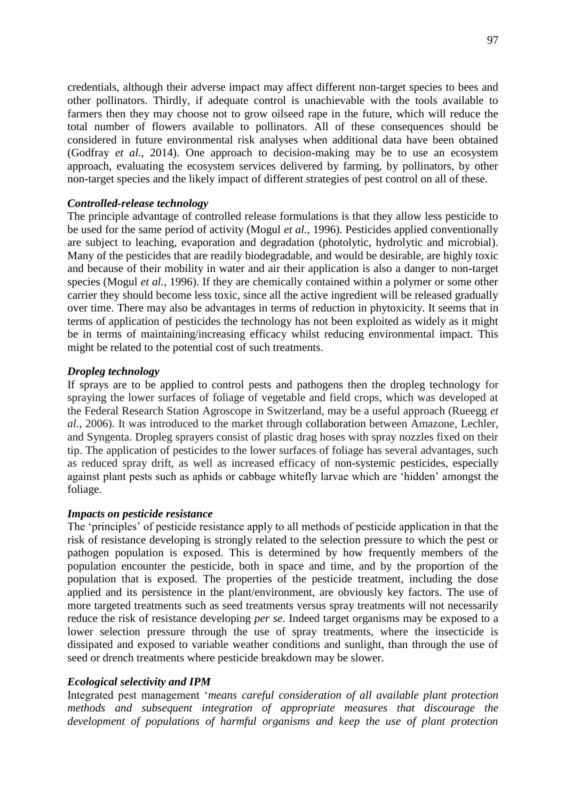credentials, although their adverse impact may affect different non-target species to bees and other pollinators. Thirdly, if adequate control is unachievable with the tools available to farmers then they may choose not to grow oilseed rape in the future, which will reduce the total number of flowers available to pollinators. All of these consequences should be considered in future environmental risk analyses when additional data have been obtained (Godfray *et al.*, 2014). One approach to decision-making may be to use an ecosystem approach, evaluating the ecosystem services delivered by farming, by pollinators, by other non-target species and the likely impact of different strategies of pest control on all of these.

#### *Controlled-release technology*

The principle advantage of controlled release formulations is that they allow less pesticide to be used for the same period of activity (Mogul *et al.*, 1996). Pesticides applied conventionally are subject to leaching, evaporation and degradation (photolytic, hydrolytic and microbial). Many of the pesticides that are readily biodegradable, and would be desirable, are highly toxic and because of their mobility in water and air their application is also a danger to non-target species (Mogul *et al.*, 1996). If they are chemically contained within a polymer or some other carrier they should become less toxic, since all the active ingredient will be released gradually over time. There may also be advantages in terms of reduction in phytoxicity. It seems that in terms of application of pesticides the technology has not been exploited as widely as it might be in terms of maintaining/increasing efficacy whilst reducing environmental impact. This might be related to the potential cost of such treatments.

#### *Dropleg technology*

If sprays are to be applied to control pests and pathogens then the dropleg technology for spraying the lower surfaces of foliage of vegetable and field crops, which was developed at the Federal Research Station Agroscope in Switzerland, may be a useful approach (Rueegg *et al.*, 2006). It was introduced to the market through collaboration between Amazone, Lechler, and Syngenta. Dropleg sprayers consist of plastic drag hoses with spray nozzles fixed on their tip. The application of pesticides to the lower surfaces of foliage has several advantages, such as reduced spray drift, as well as increased efficacy of non-systemic pesticides, especially against plant pests such as aphids or cabbage whitefly larvae which are 'hidden' amongst the foliage.

#### *Impacts on pesticide resistance*

The 'principles' of pesticide resistance apply to all methods of pesticide application in that the risk of resistance developing is strongly related to the selection pressure to which the pest or pathogen population is exposed. This is determined by how frequently members of the population encounter the pesticide, both in space and time, and by the proportion of the population that is exposed. The properties of the pesticide treatment, including the dose applied and its persistence in the plant/environment, are obviously key factors. The use of more targeted treatments such as seed treatments versus spray treatments will not necessarily reduce the risk of resistance developing *per se*. Indeed target organisms may be exposed to a lower selection pressure through the use of spray treatments, where the insecticide is dissipated and exposed to variable weather conditions and sunlight, than through the use of seed or drench treatments where pesticide breakdown may be slower.

#### *Ecological selectivity and IPM*

Integrated pest management '*means careful consideration of all available plant protection methods and subsequent integration of appropriate measures that discourage the development of populations of harmful organisms and keep the use of plant protection*